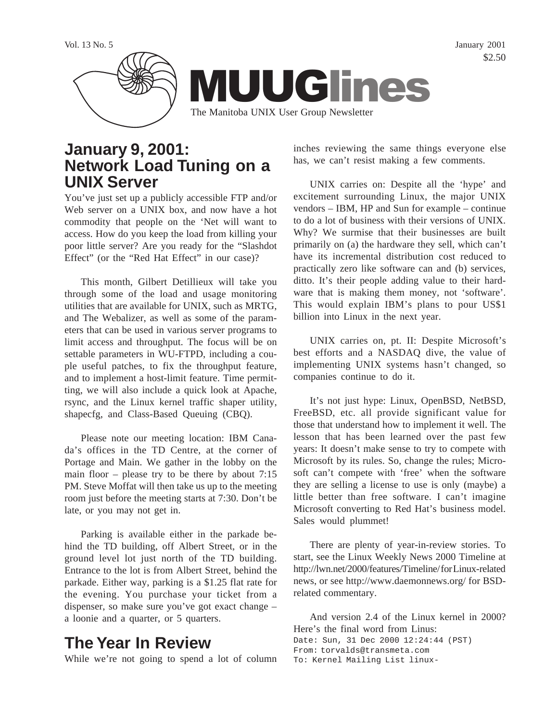

### **January 9, 2001: Network Load Tuning on a UNIX Server**

You've just set up a publicly accessible FTP and/or Web server on a UNIX box, and now have a hot commodity that people on the 'Net will want to access. How do you keep the load from killing your poor little server? Are you ready for the "Slashdot Effect" (or the "Red Hat Effect" in our case)?

This month, Gilbert Detillieux will take you through some of the load and usage monitoring utilities that are available for UNIX, such as MRTG, and The Webalizer, as well as some of the parameters that can be used in various server programs to limit access and throughput. The focus will be on settable parameters in WU-FTPD, including a couple useful patches, to fix the throughput feature, and to implement a host-limit feature. Time permitting, we will also include a quick look at Apache, rsync, and the Linux kernel traffic shaper utility, shapecfg, and Class-Based Queuing (CBQ).

Please note our meeting location: IBM Canada's offices in the TD Centre, at the corner of Portage and Main. We gather in the lobby on the main floor – please try to be there by about 7:15 PM. Steve Moffat will then take us up to the meeting room just before the meeting starts at 7:30. Don't be late, or you may not get in.

Parking is available either in the parkade behind the TD building, off Albert Street, or in the ground level lot just north of the TD building. Entrance to the lot is from Albert Street, behind the parkade. Either way, parking is a \$1.25 flat rate for the evening. You purchase your ticket from a dispenser, so make sure you've got exact change – a loonie and a quarter, or 5 quarters.

## **The Year In Review**

While we're not going to spend a lot of column

inches reviewing the same things everyone else has, we can't resist making a few comments.

UNIX carries on: Despite all the 'hype' and excitement surrounding Linux, the major UNIX vendors – IBM, HP and Sun for example – continue to do a lot of business with their versions of UNIX. Why? We surmise that their businesses are built primarily on (a) the hardware they sell, which can't have its incremental distribution cost reduced to practically zero like software can and (b) services, ditto. It's their people adding value to their hardware that is making them money, not 'software'. This would explain IBM's plans to pour US\$1 billion into Linux in the next year.

UNIX carries on, pt. II: Despite Microsoft's best efforts and a NASDAQ dive, the value of implementing UNIX systems hasn't changed, so companies continue to do it.

It's not just hype: Linux, OpenBSD, NetBSD, FreeBSD, etc. all provide significant value for those that understand how to implement it well. The lesson that has been learned over the past few years: It doesn't make sense to try to compete with Microsoft by its rules. So, change the rules; Microsoft can't compete with 'free' when the software they are selling a license to use is only (maybe) a little better than free software. I can't imagine Microsoft converting to Red Hat's business model. Sales would plummet!

There are plenty of year-in-review stories. To start, see the Linux Weekly News 2000 Timeline at http://lwn.net/2000/features/Timeline/ for Linux-related news, or see http://www.daemonnews.org/ for BSDrelated commentary.

And version 2.4 of the Linux kernel in 2000? Here's the final word from Linus: Date: Sun, 31 Dec 2000 12:24:44 (PST) From: torvalds@transmeta.com To: Kernel Mailing List linux-

\$2.50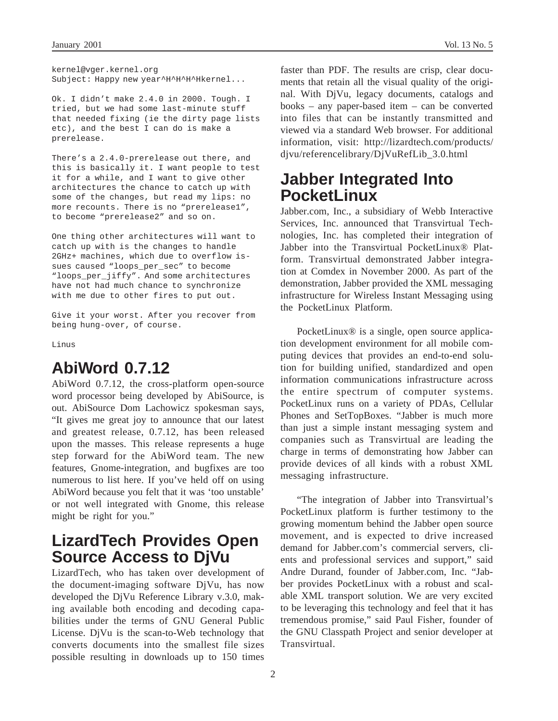kernel@vger.kernel.org Subject: Happy new year^H^H^H^Hkernel...

Ok. I didn't make 2.4.0 in 2000. Tough. I tried, but we had some last-minute stuff that needed fixing (ie the dirty page lists etc), and the best I can do is make a prerelease.

There's a 2.4.0-prerelease out there, and this is basically it. I want people to test it for a while, and I want to give other architectures the chance to catch up with some of the changes, but read my lips: no more recounts. There is no "prerelease1", to become "prerelease2" and so on.

One thing other architectures will want to catch up with is the changes to handle 2GHz+ machines, which due to overflow issues caused "loops\_per\_sec" to become "loops\_per\_jiffy". And some architectures have not had much chance to synchronize with me due to other fires to put out.

Give it your worst. After you recover from being hung-over, of course.

Linus

# **AbiWord 0.7.12**

AbiWord 0.7.12, the cross-platform open-source word processor being developed by AbiSource, is out. AbiSource Dom Lachowicz spokesman says, "It gives me great joy to announce that our latest and greatest release, 0.7.12, has been released upon the masses. This release represents a huge step forward for the AbiWord team. The new features, Gnome-integration, and bugfixes are too numerous to list here. If you've held off on using AbiWord because you felt that it was 'too unstable' or not well integrated with Gnome, this release might be right for you."

## **LizardTech Provides Open Source Access to DjVu**

LizardTech, who has taken over development of the document-imaging software DjVu, has now developed the DjVu Reference Library v.3.0, making available both encoding and decoding capabilities under the terms of GNU General Public License. DjVu is the scan-to-Web technology that converts documents into the smallest file sizes possible resulting in downloads up to 150 times

faster than PDF. The results are crisp, clear documents that retain all the visual quality of the original. With DjVu, legacy documents, catalogs and books – any paper-based item – can be converted into files that can be instantly transmitted and viewed via a standard Web browser. For additional information, visit: http://lizardtech.com/products/ djvu/referencelibrary/DjVuRefLib\_3.0.html

## **Jabber Integrated Into PocketLinux**

Jabber.com, Inc., a subsidiary of Webb Interactive Services, Inc. announced that Transvirtual Technologies, Inc. has completed their integration of Jabber into the Transvirtual PocketLinux® Platform. Transvirtual demonstrated Jabber integration at Comdex in November 2000. As part of the demonstration, Jabber provided the XML messaging infrastructure for Wireless Instant Messaging using the PocketLinux Platform.

PocketLinux® is a single, open source application development environment for all mobile computing devices that provides an end-to-end solution for building unified, standardized and open information communications infrastructure across the entire spectrum of computer systems. PocketLinux runs on a variety of PDAs, Cellular Phones and SetTopBoxes. "Jabber is much more than just a simple instant messaging system and companies such as Transvirtual are leading the charge in terms of demonstrating how Jabber can provide devices of all kinds with a robust XML messaging infrastructure.

"The integration of Jabber into Transvirtual's PocketLinux platform is further testimony to the growing momentum behind the Jabber open source movement, and is expected to drive increased demand for Jabber.com's commercial servers, clients and professional services and support," said Andre Durand, founder of Jabber.com, Inc. "Jabber provides PocketLinux with a robust and scalable XML transport solution. We are very excited to be leveraging this technology and feel that it has tremendous promise," said Paul Fisher, founder of the GNU Classpath Project and senior developer at Transvirtual.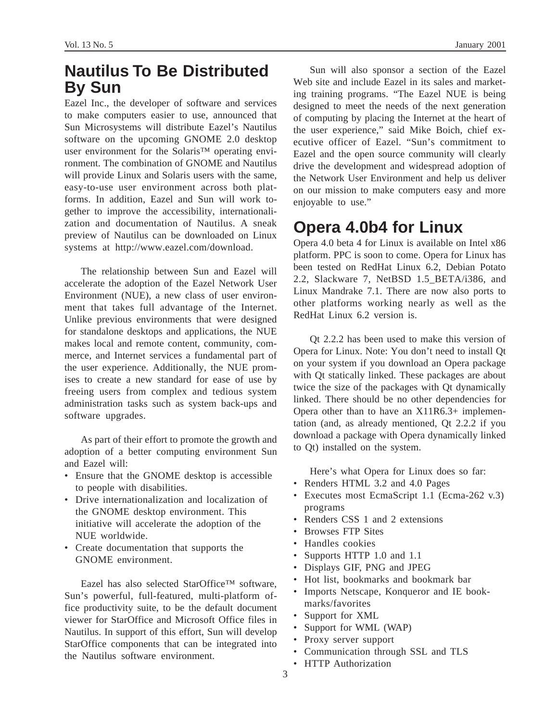## **Nautilus To Be Distributed By Sun**

Eazel Inc., the developer of software and services to make computers easier to use, announced that Sun Microsystems will distribute Eazel's Nautilus software on the upcoming GNOME 2.0 desktop user environment for the Solaris™ operating environment. The combination of GNOME and Nautilus will provide Linux and Solaris users with the same, easy-to-use user environment across both platforms. In addition, Eazel and Sun will work together to improve the accessibility, internationalization and documentation of Nautilus. A sneak preview of Nautilus can be downloaded on Linux systems at http://www.eazel.com/download.

The relationship between Sun and Eazel will accelerate the adoption of the Eazel Network User Environment (NUE), a new class of user environment that takes full advantage of the Internet. Unlike previous environments that were designed for standalone desktops and applications, the NUE makes local and remote content, community, commerce, and Internet services a fundamental part of the user experience. Additionally, the NUE promises to create a new standard for ease of use by freeing users from complex and tedious system administration tasks such as system back-ups and software upgrades.

As part of their effort to promote the growth and adoption of a better computing environment Sun and Eazel will:

- Ensure that the GNOME desktop is accessible to people with disabilities.
- Drive internationalization and localization of the GNOME desktop environment. This initiative will accelerate the adoption of the NUE worldwide.
- Create documentation that supports the GNOME environment.

Eazel has also selected StarOffice™ software, Sun's powerful, full-featured, multi-platform office productivity suite, to be the default document viewer for StarOffice and Microsoft Office files in Nautilus. In support of this effort, Sun will develop StarOffice components that can be integrated into the Nautilus software environment.

Sun will also sponsor a section of the Eazel Web site and include Eazel in its sales and marketing training programs. "The Eazel NUE is being designed to meet the needs of the next generation of computing by placing the Internet at the heart of the user experience," said Mike Boich, chief executive officer of Eazel. "Sun's commitment to Eazel and the open source community will clearly drive the development and widespread adoption of the Network User Environment and help us deliver on our mission to make computers easy and more enjoyable to use."

## **Opera 4.0b4 for Linux**

Opera 4.0 beta 4 for Linux is available on Intel x86 platform. PPC is soon to come. Opera for Linux has been tested on RedHat Linux 6.2, Debian Potato 2.2, Slackware 7, NetBSD 1.5 BETA/i386, and Linux Mandrake 7.1. There are now also ports to other platforms working nearly as well as the RedHat Linux 6.2 version is.

Qt 2.2.2 has been used to make this version of Opera for Linux. Note: You don't need to install Qt on your system if you download an Opera package with Qt statically linked. These packages are about twice the size of the packages with Qt dynamically linked. There should be no other dependencies for Opera other than to have an X11R6.3+ implementation (and, as already mentioned, Qt 2.2.2 if you download a package with Opera dynamically linked to Qt) installed on the system.

Here's what Opera for Linux does so far:

- Renders HTML 3.2 and 4.0 Pages
- Executes most EcmaScript 1.1 (Ecma-262 v.3) programs
- Renders CSS 1 and 2 extensions
- Browses FTP Sites
- Handles cookies
- Supports HTTP 1.0 and 1.1
- Displays GIF, PNG and JPEG
- Hot list, bookmarks and bookmark bar
- Imports Netscape, Konqueror and IE bookmarks/favorites
- Support for XML
- Support for WML (WAP)
- Proxy server support
- Communication through SSL and TLS
- HTTP Authorization